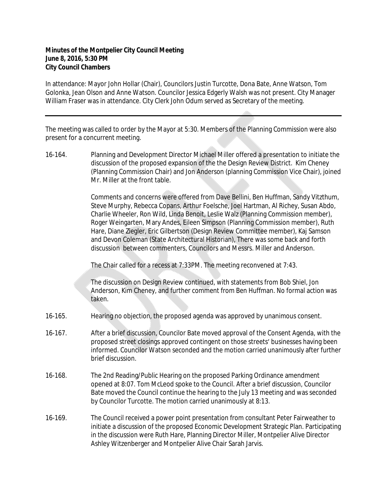## **Minutes of the Montpelier City Council Meeting June 8, 2016, 5:30 PM City Council Chambers**

In attendance: Mayor John Hollar (Chair), Councilors Justin Turcotte, Dona Bate, Anne Watson, Tom Golonka, Jean Olson and Anne Watson. Councilor Jessica Edgerly Walsh was not present. City Manager William Fraser was in attendance. City Clerk John Odum served as Secretary of the meeting.

The meeting was called to order by the Mayor at 5:30. Members of the Planning Commission were also present for a concurrent meeting.

16-164. Planning and Development Director Michael Miller offered a presentation to initiate the discussion of the proposed expansion of the the Design Review District. Kim Cheney (Planning Commission Chair) and Jon Anderson (planning Commission Vice Chair), joined Mr. Miller at the front table.

> Comments and concerns were offered from Dave Bellini, Ben Huffman, Sandy Vitzthum, Steve Murphy, Rebecca Copans, Arthur Foelsche, Joel Hartman, Al Richey, Susan Abdo, Charlie Wheeler, Ron Wild, Linda Benoit, Leslie Walz (Planning Commission member), Roger Weingarten, Mary Andes, Eileen Simpson (Planning Commission member), Ruth Hare, Diane Ziegler, Eric Gilbertson (Design Review Committee member), Kaj Samson and Devon Coleman (State Architectural Historian), There was some back and forth discussion between commenters, Councilors and Messrs. Miller and Anderson.

The Chair called for a recess at 7:33PM. The meeting reconvened at 7:43.

The discussion on Design Review continued, with statements from Bob Shiel, Jon Anderson, Kim Cheney, and further comment from Ben Huffman. No formal action was taken.

- 16-165. Hearing no objection, the proposed agenda was approved by unanimous consent.
- 16-167. After a brief discussion, Councilor Bate moved approval of the Consent Agenda, with the proposed street closings approved contingent on those streets' businesses having been informed. Councilor Watson seconded and the motion carried unanimously after further brief discussion.
- 16-168. The 2nd Reading/Public Hearing on the proposed Parking Ordinance amendment opened at 8:07. Tom McLeod spoke to the Council. After a brief discussion, Councilor Bate moved the Council continue the hearing to the July 13 meeting and was seconded by Councilor Turcotte. The motion carried unanimously at 8:13.
- 16-169. The Council received a power point presentation from consultant Peter Fairweather to initiate a discussion of the proposed Economic Development Strategic Plan. Participating in the discussion were Ruth Hare, Planning Director Miller, Montpelier Alive Director Ashley Witzenberger and Montpelier Alive Chair Sarah Jarvis.